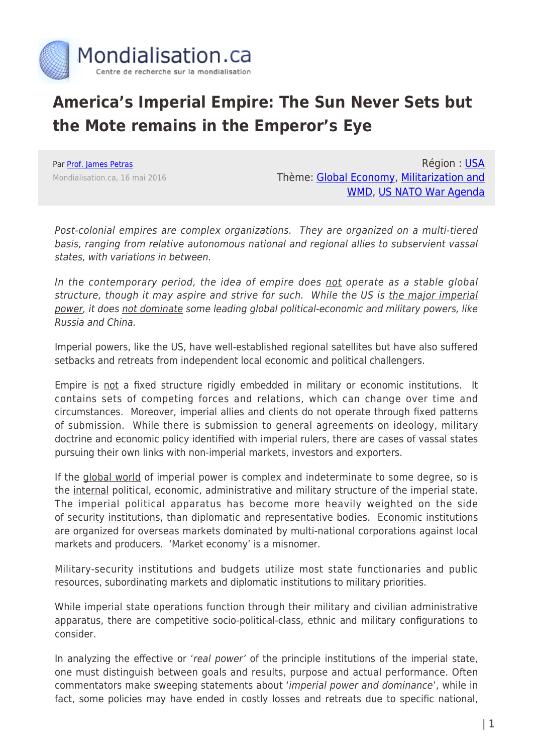

# **America's Imperial Empire: The Sun Never Sets but the Mote remains in the Emperor's Eye**

Par [Prof. James Petras](https://www.mondialisation.ca/author/james-petras) Mondialisation.ca, 16 mai 2016

Région : [USA](https://www.mondialisation.ca/region/usa) Thème: [Global Economy](https://www.mondialisation.ca/theme/global-economy), [Militarization and](https://www.mondialisation.ca/theme/militarization-and-wmd) [WMD](https://www.mondialisation.ca/theme/militarization-and-wmd), [US NATO War Agenda](https://www.mondialisation.ca/theme/us-nato-war-agenda)

Post-colonial empires are complex organizations. They are organized on a multi-tiered basis, ranging from relative autonomous national and regional allies to subservient vassal states, with variations in between.

In the contemporary period, the idea of empire does not operate as a stable global structure, though it may aspire and strive for such. While the US is the major imperial power, it does not dominate some leading global political-economic and military powers, like Russia and China.

Imperial powers, like the US, have well-established regional satellites but have also suffered setbacks and retreats from independent local economic and political challengers.

Empire is not a fixed structure rigidly embedded in military or economic institutions. It contains sets of competing forces and relations, which can change over time and circumstances. Moreover, imperial allies and clients do not operate through fixed patterns of submission. While there is submission to general agreements on ideology, military doctrine and economic policy identified with imperial rulers, there are cases of vassal states pursuing their own links with non-imperial markets, investors and exporters.

If the global world of imperial power is complex and indeterminate to some degree, so is the internal political, economic, administrative and military structure of the imperial state. The imperial political apparatus has become more heavily weighted on the side of security institutions, than diplomatic and representative bodies. Economic institutions are organized for overseas markets dominated by multi-national corporations against local markets and producers. 'Market economy' is a misnomer.

Military-security institutions and budgets utilize most state functionaries and public resources, subordinating markets and diplomatic institutions to military priorities.

While imperial state operations function through their military and civilian administrative apparatus, there are competitive socio-political-class, ethnic and military configurations to consider.

In analyzing the effective or 'real power' of the principle institutions of the imperial state, one must distinguish between goals and results, purpose and actual performance. Often commentators make sweeping statements about 'imperial power and dominance', while in fact, some policies may have ended in costly losses and retreats due to specific national,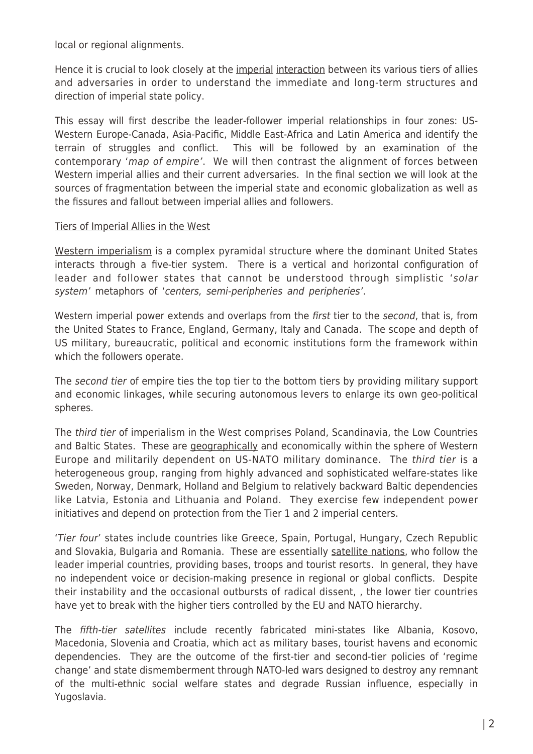local or regional alignments.

Hence it is crucial to look closely at the imperial interaction between its various tiers of allies and adversaries in order to understand the immediate and long-term structures and direction of imperial state policy.

This essay will first describe the leader-follower imperial relationships in four zones: US-Western Europe-Canada, Asia-Pacific, Middle East-Africa and Latin America and identify the terrain of struggles and conflict. This will be followed by an examination of the contemporary 'map of empire'. We will then contrast the alignment of forces between Western imperial allies and their current adversaries. In the final section we will look at the sources of fragmentation between the imperial state and economic globalization as well as the fissures and fallout between imperial allies and followers.

### Tiers of Imperial Allies in the West

Western imperialism is a complex pyramidal structure where the dominant United States interacts through a five-tier system. There is a vertical and horizontal configuration of leader and follower states that cannot be understood through simplistic 'solar system' metaphors of 'centers, semi-peripheries and peripheries'.

Western imperial power extends and overlaps from the first tier to the second, that is, from the United States to France, England, Germany, Italy and Canada. The scope and depth of US military, bureaucratic, political and economic institutions form the framework within which the followers operate.

The second tier of empire ties the top tier to the bottom tiers by providing military support and economic linkages, while securing autonomous levers to enlarge its own geo-political spheres.

The third tier of imperialism in the West comprises Poland, Scandinavia, the Low Countries and Baltic States. These are geographically and economically within the sphere of Western Europe and militarily dependent on US-NATO military dominance. The third tier is a heterogeneous group, ranging from highly advanced and sophisticated welfare-states like Sweden, Norway, Denmark, Holland and Belgium to relatively backward Baltic dependencies like Latvia, Estonia and Lithuania and Poland. They exercise few independent power initiatives and depend on protection from the Tier 1 and 2 imperial centers.

'Tier four' states include countries like Greece, Spain, Portugal, Hungary, Czech Republic and Slovakia, Bulgaria and Romania. These are essentially satellite nations, who follow the leader imperial countries, providing bases, troops and tourist resorts. In general, they have no independent voice or decision-making presence in regional or global conflicts. Despite their instability and the occasional outbursts of radical dissent, , the lower tier countries have yet to break with the higher tiers controlled by the EU and NATO hierarchy.

The fifth-tier satellites include recently fabricated mini-states like Albania, Kosovo, Macedonia, Slovenia and Croatia, which act as military bases, tourist havens and economic dependencies. They are the outcome of the first-tier and second-tier policies of 'regime change' and state dismemberment through NATO-led wars designed to destroy any remnant of the multi-ethnic social welfare states and degrade Russian influence, especially in Yugoslavia.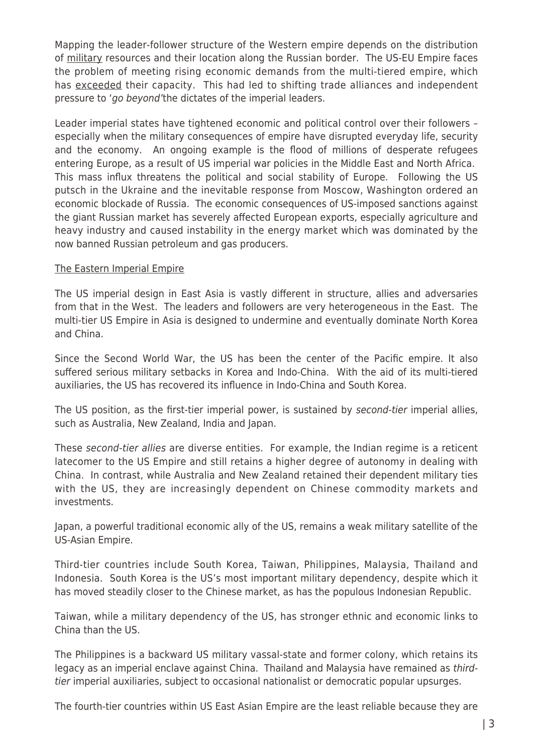Mapping the leader-follower structure of the Western empire depends on the distribution of military resources and their location along the Russian border. The US-EU Empire faces the problem of meeting rising economic demands from the multi-tiered empire, which has exceeded their capacity. This had led to shifting trade alliances and independent pressure to 'go beyond'the dictates of the imperial leaders.

Leader imperial states have tightened economic and political control over their followers – especially when the military consequences of empire have disrupted everyday life, security and the economy. An ongoing example is the flood of millions of desperate refugees entering Europe, as a result of US imperial war policies in the Middle East and North Africa. This mass influx threatens the political and social stability of Europe. Following the US putsch in the Ukraine and the inevitable response from Moscow, Washington ordered an economic blockade of Russia. The economic consequences of US-imposed sanctions against the giant Russian market has severely affected European exports, especially agriculture and heavy industry and caused instability in the energy market which was dominated by the now banned Russian petroleum and gas producers.

#### The Eastern Imperial Empire

The US imperial design in East Asia is vastly different in structure, allies and adversaries from that in the West. The leaders and followers are very heterogeneous in the East. The multi-tier US Empire in Asia is designed to undermine and eventually dominate North Korea and China.

Since the Second World War, the US has been the center of the Pacific empire. It also suffered serious military setbacks in Korea and Indo-China. With the aid of its multi-tiered auxiliaries, the US has recovered its influence in Indo-China and South Korea.

The US position, as the first-tier imperial power, is sustained by second-tier imperial allies, such as Australia, New Zealand, India and Japan.

These second-tier allies are diverse entities. For example, the Indian regime is a reticent latecomer to the US Empire and still retains a higher degree of autonomy in dealing with China. In contrast, while Australia and New Zealand retained their dependent military ties with the US, they are increasingly dependent on Chinese commodity markets and investments.

Japan, a powerful traditional economic ally of the US, remains a weak military satellite of the US-Asian Empire.

Third-tier countries include South Korea, Taiwan, Philippines, Malaysia, Thailand and Indonesia. South Korea is the US's most important military dependency, despite which it has moved steadily closer to the Chinese market, as has the populous Indonesian Republic.

Taiwan, while a military dependency of the US, has stronger ethnic and economic links to China than the US.

The Philippines is a backward US military vassal-state and former colony, which retains its legacy as an imperial enclave against China. Thailand and Malaysia have remained as thirdtier imperial auxiliaries, subject to occasional nationalist or democratic popular upsurges.

The fourth-tier countries within US East Asian Empire are the least reliable because they are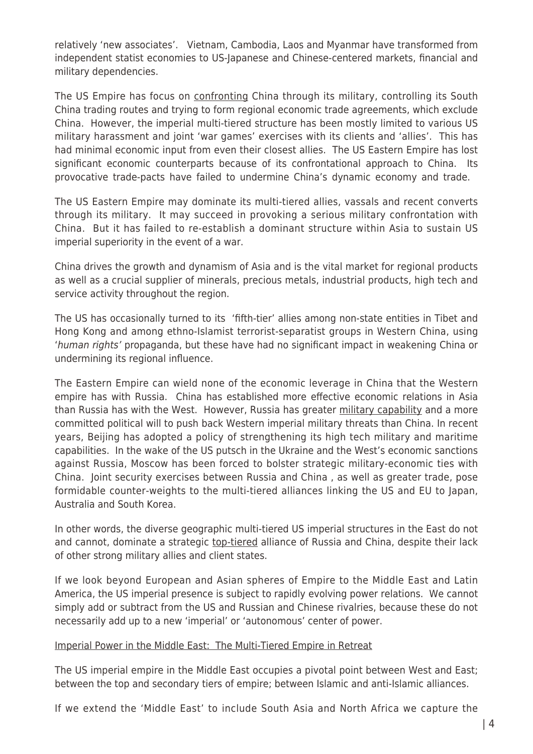relatively 'new associates'. Vietnam, Cambodia, Laos and Myanmar have transformed from independent statist economies to US-Japanese and Chinese-centered markets, financial and military dependencies.

The US Empire has focus on confronting China through its military, controlling its South China trading routes and trying to form regional economic trade agreements, which exclude China. However, the imperial multi-tiered structure has been mostly limited to various US military harassment and joint 'war games' exercises with its clients and 'allies'. This has had minimal economic input from even their closest allies. The US Eastern Empire has lost significant economic counterparts because of its confrontational approach to China. Its provocative trade-pacts have failed to undermine China's dynamic economy and trade.

The US Eastern Empire may dominate its multi-tiered allies, vassals and recent converts through its military. It may succeed in provoking a serious military confrontation with China. But it has failed to re-establish a dominant structure within Asia to sustain US imperial superiority in the event of a war.

China drives the growth and dynamism of Asia and is the vital market for regional products as well as a crucial supplier of minerals, precious metals, industrial products, high tech and service activity throughout the region.

The US has occasionally turned to its 'fifth-tier' allies among non-state entities in Tibet and Hong Kong and among ethno-Islamist terrorist-separatist groups in Western China, using 'human rights' propaganda, but these have had no significant impact in weakening China or undermining its regional influence.

The Eastern Empire can wield none of the economic leverage in China that the Western empire has with Russia. China has established more effective economic relations in Asia than Russia has with the West. However, Russia has greater military capability and a more committed political will to push back Western imperial military threats than China. In recent years, Beijing has adopted a policy of strengthening its high tech military and maritime capabilities. In the wake of the US putsch in the Ukraine and the West's economic sanctions against Russia, Moscow has been forced to bolster strategic military-economic ties with China. Joint security exercises between Russia and China , as well as greater trade, pose formidable counter-weights to the multi-tiered alliances linking the US and EU to Japan, Australia and South Korea.

In other words, the diverse geographic multi-tiered US imperial structures in the East do not and cannot, dominate a strategic top-tiered alliance of Russia and China, despite their lack of other strong military allies and client states.

If we look beyond European and Asian spheres of Empire to the Middle East and Latin America, the US imperial presence is subject to rapidly evolving power relations. We cannot simply add or subtract from the US and Russian and Chinese rivalries, because these do not necessarily add up to a new 'imperial' or 'autonomous' center of power.

#### Imperial Power in the Middle East: The Multi-Tiered Empire in Retreat

The US imperial empire in the Middle East occupies a pivotal point between West and East; between the top and secondary tiers of empire; between Islamic and anti-Islamic alliances.

If we extend the 'Middle East' to include South Asia and North Africa we capture the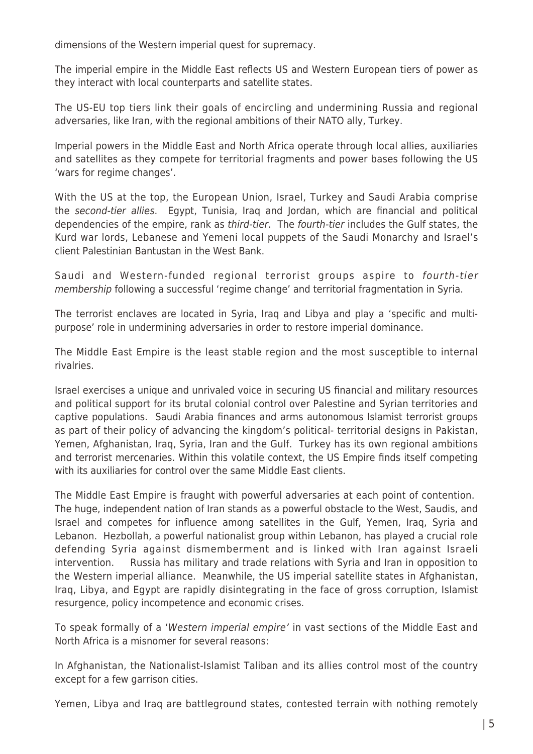dimensions of the Western imperial quest for supremacy.

The imperial empire in the Middle East reflects US and Western European tiers of power as they interact with local counterparts and satellite states.

The US-EU top tiers link their goals of encircling and undermining Russia and regional adversaries, like Iran, with the regional ambitions of their NATO ally, Turkey.

Imperial powers in the Middle East and North Africa operate through local allies, auxiliaries and satellites as they compete for territorial fragments and power bases following the US 'wars for regime changes'.

With the US at the top, the European Union, Israel, Turkey and Saudi Arabia comprise the second-tier allies. Egypt, Tunisia, Iraq and Jordan, which are financial and political dependencies of the empire, rank as *third-tier*. The *fourth-tier* includes the Gulf states, the Kurd war lords, Lebanese and Yemeni local puppets of the Saudi Monarchy and Israel's client Palestinian Bantustan in the West Bank.

Saudi and Western-funded regional terrorist groups aspire to fourth-tier membership following a successful 'regime change' and territorial fragmentation in Syria.

The terrorist enclaves are located in Syria, Iraq and Libya and play a 'specific and multipurpose' role in undermining adversaries in order to restore imperial dominance.

The Middle East Empire is the least stable region and the most susceptible to internal rivalries.

Israel exercises a unique and unrivaled voice in securing US financial and military resources and political support for its brutal colonial control over Palestine and Syrian territories and captive populations. Saudi Arabia finances and arms autonomous Islamist terrorist groups as part of their policy of advancing the kingdom's political- territorial designs in Pakistan, Yemen, Afghanistan, Iraq, Syria, Iran and the Gulf. Turkey has its own regional ambitions and terrorist mercenaries. Within this volatile context, the US Empire finds itself competing with its auxiliaries for control over the same Middle East clients.

The Middle East Empire is fraught with powerful adversaries at each point of contention. The huge, independent nation of Iran stands as a powerful obstacle to the West, Saudis, and Israel and competes for influence among satellites in the Gulf, Yemen, Iraq, Syria and Lebanon. Hezbollah, a powerful nationalist group within Lebanon, has played a crucial role defending Syria against dismemberment and is linked with Iran against Israeli intervention. Russia has military and trade relations with Syria and Iran in opposition to the Western imperial alliance. Meanwhile, the US imperial satellite states in Afghanistan, Iraq, Libya, and Egypt are rapidly disintegrating in the face of gross corruption, Islamist resurgence, policy incompetence and economic crises.

To speak formally of a 'Western imperial empire' in vast sections of the Middle East and North Africa is a misnomer for several reasons:

In Afghanistan, the Nationalist-Islamist Taliban and its allies control most of the country except for a few garrison cities.

Yemen, Libya and Iraq are battleground states, contested terrain with nothing remotely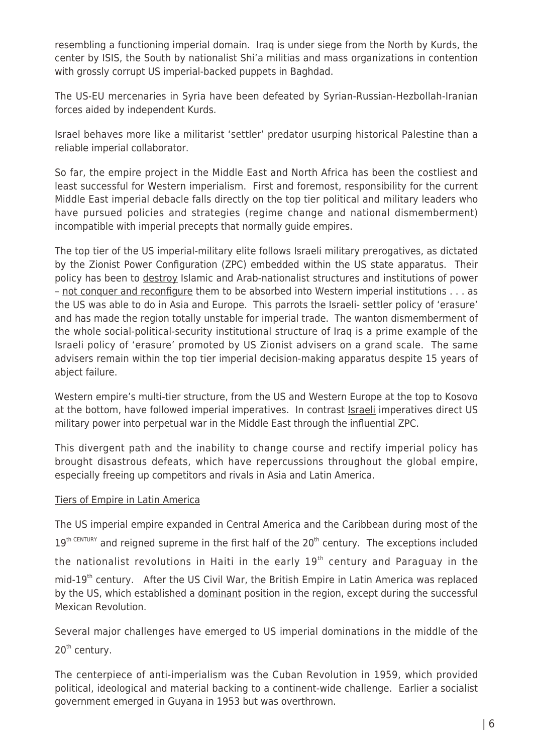resembling a functioning imperial domain. Iraq is under siege from the North by Kurds, the center by ISIS, the South by nationalist Shi'a militias and mass organizations in contention with grossly corrupt US imperial-backed puppets in Baghdad.

The US-EU mercenaries in Syria have been defeated by Syrian-Russian-Hezbollah-Iranian forces aided by independent Kurds.

Israel behaves more like a militarist 'settler' predator usurping historical Palestine than a reliable imperial collaborator.

So far, the empire project in the Middle East and North Africa has been the costliest and least successful for Western imperialism. First and foremost, responsibility for the current Middle East imperial debacle falls directly on the top tier political and military leaders who have pursued policies and strategies (regime change and national dismemberment) incompatible with imperial precepts that normally guide empires.

The top tier of the US imperial-military elite follows Israeli military prerogatives, as dictated by the Zionist Power Configuration (ZPC) embedded within the US state apparatus. Their policy has been to destroy Islamic and Arab-nationalist structures and institutions of power – not conquer and reconfigure them to be absorbed into Western imperial institutions . . . as the US was able to do in Asia and Europe. This parrots the Israeli- settler policy of 'erasure' and has made the region totally unstable for imperial trade. The wanton dismemberment of the whole social-political-security institutional structure of Iraq is a prime example of the Israeli policy of 'erasure' promoted by US Zionist advisers on a grand scale. The same advisers remain within the top tier imperial decision-making apparatus despite 15 years of abject failure.

Western empire's multi-tier structure, from the US and Western Europe at the top to Kosovo at the bottom, have followed imperial imperatives. In contrast *Israeli* imperatives direct US military power into perpetual war in the Middle East through the influential ZPC.

This divergent path and the inability to change course and rectify imperial policy has brought disastrous defeats, which have repercussions throughout the global empire, especially freeing up competitors and rivals in Asia and Latin America.

## Tiers of Empire in Latin America

The US imperial empire expanded in Central America and the Caribbean during most of the  $19<sup>th CFNTURY</sup>$  and reigned supreme in the first half of the 20<sup>th</sup> century. The exceptions included the nationalist revolutions in Haiti in the early  $19<sup>th</sup>$  century and Paraguay in the mid-19<sup>th</sup> century. After the US Civil War, the British Empire in Latin America was replaced by the US, which established a dominant position in the region, except during the successful Mexican Revolution.

Several major challenges have emerged to US imperial dominations in the middle of the 20<sup>th</sup> century.

The centerpiece of anti-imperialism was the Cuban Revolution in 1959, which provided political, ideological and material backing to a continent-wide challenge. Earlier a socialist government emerged in Guyana in 1953 but was overthrown.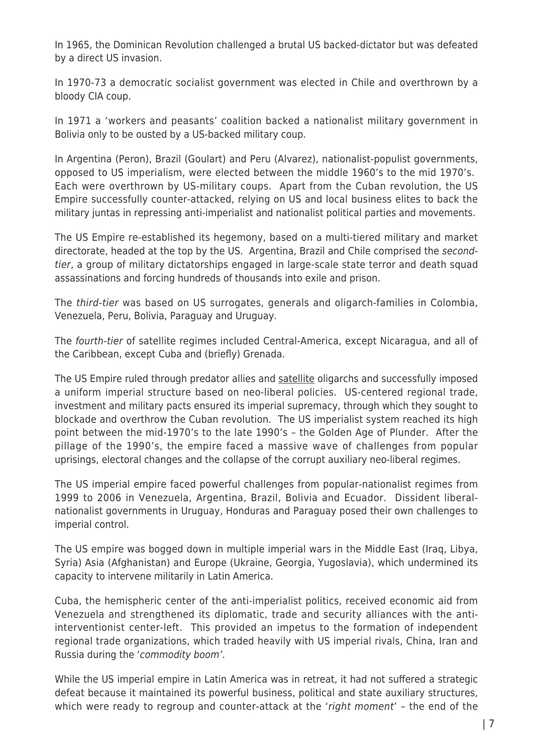In 1965, the Dominican Revolution challenged a brutal US backed-dictator but was defeated by a direct US invasion.

In 1970-73 a democratic socialist government was elected in Chile and overthrown by a bloody CIA coup.

In 1971 a 'workers and peasants' coalition backed a nationalist military government in Bolivia only to be ousted by a US-backed military coup.

In Argentina (Peron), Brazil (Goulart) and Peru (Alvarez), nationalist-populist governments, opposed to US imperialism, were elected between the middle 1960's to the mid 1970's. Each were overthrown by US-military coups. Apart from the Cuban revolution, the US Empire successfully counter-attacked, relying on US and local business elites to back the military juntas in repressing anti-imperialist and nationalist political parties and movements.

The US Empire re-established its hegemony, based on a multi-tiered military and market directorate, headed at the top by the US. Argentina, Brazil and Chile comprised the secondtier, a group of military dictatorships engaged in large-scale state terror and death squad assassinations and forcing hundreds of thousands into exile and prison.

The third-tier was based on US surrogates, generals and oligarch-families in Colombia, Venezuela, Peru, Bolivia, Paraguay and Uruguay.

The fourth-tier of satellite regimes included Central-America, except Nicaragua, and all of the Caribbean, except Cuba and (briefly) Grenada.

The US Empire ruled through predator allies and satellite oligarchs and successfully imposed a uniform imperial structure based on neo-liberal policies. US-centered regional trade, investment and military pacts ensured its imperial supremacy, through which they sought to blockade and overthrow the Cuban revolution. The US imperialist system reached its high point between the mid-1970's to the late 1990's – the Golden Age of Plunder. After the pillage of the 1990's, the empire faced a massive wave of challenges from popular uprisings, electoral changes and the collapse of the corrupt auxiliary neo-liberal regimes.

The US imperial empire faced powerful challenges from popular-nationalist regimes from 1999 to 2006 in Venezuela, Argentina, Brazil, Bolivia and Ecuador. Dissident liberalnationalist governments in Uruguay, Honduras and Paraguay posed their own challenges to imperial control.

The US empire was bogged down in multiple imperial wars in the Middle East (Iraq, Libya, Syria) Asia (Afghanistan) and Europe (Ukraine, Georgia, Yugoslavia), which undermined its capacity to intervene militarily in Latin America.

Cuba, the hemispheric center of the anti-imperialist politics, received economic aid from Venezuela and strengthened its diplomatic, trade and security alliances with the antiinterventionist center-left. This provided an impetus to the formation of independent regional trade organizations, which traded heavily with US imperial rivals, China, Iran and Russia during the 'commodity boom'.

While the US imperial empire in Latin America was in retreat, it had not suffered a strategic defeat because it maintained its powerful business, political and state auxiliary structures, which were ready to regroup and counter-attack at the 'right moment' - the end of the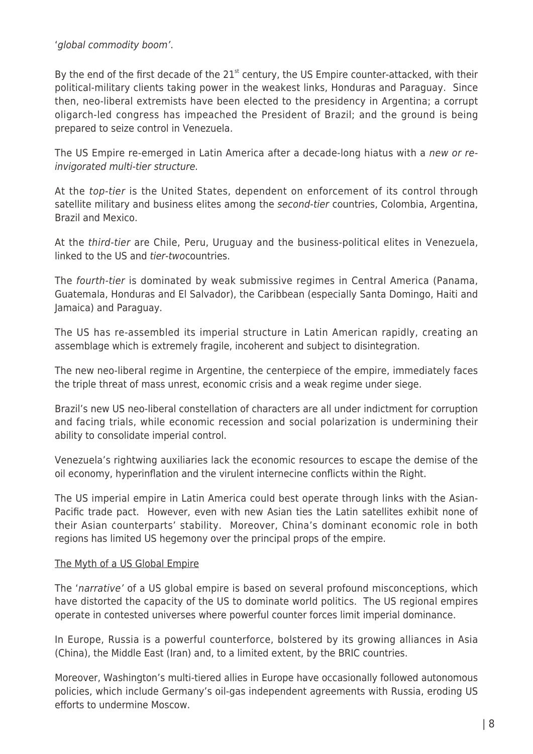'global commodity boom'.

By the end of the first decade of the  $21<sup>st</sup>$  century, the US Empire counter-attacked, with their political-military clients taking power in the weakest links, Honduras and Paraguay. Since then, neo-liberal extremists have been elected to the presidency in Argentina; a corrupt oligarch-led congress has impeached the President of Brazil; and the ground is being prepared to seize control in Venezuela.

The US Empire re-emerged in Latin America after a decade-long hiatus with a new or reinvigorated multi-tier structure.

At the top-tier is the United States, dependent on enforcement of its control through satellite military and business elites among the second-tier countries, Colombia, Argentina, Brazil and Mexico.

At the third-tier are Chile, Peru, Uruguay and the business-political elites in Venezuela, linked to the US and tier-twocountries.

The fourth-tier is dominated by weak submissive regimes in Central America (Panama, Guatemala, Honduras and El Salvador), the Caribbean (especially Santa Domingo, Haiti and Jamaica) and Paraguay.

The US has re-assembled its imperial structure in Latin American rapidly, creating an assemblage which is extremely fragile, incoherent and subject to disintegration.

The new neo-liberal regime in Argentine, the centerpiece of the empire, immediately faces the triple threat of mass unrest, economic crisis and a weak regime under siege.

Brazil's new US neo-liberal constellation of characters are all under indictment for corruption and facing trials, while economic recession and social polarization is undermining their ability to consolidate imperial control.

Venezuela's rightwing auxiliaries lack the economic resources to escape the demise of the oil economy, hyperinflation and the virulent internecine conflicts within the Right.

The US imperial empire in Latin America could best operate through links with the Asian-Pacific trade pact. However, even with new Asian ties the Latin satellites exhibit none of their Asian counterparts' stability. Moreover, China's dominant economic role in both regions has limited US hegemony over the principal props of the empire.

## The Myth of a US Global Empire

The 'narrative' of a US global empire is based on several profound misconceptions, which have distorted the capacity of the US to dominate world politics. The US regional empires operate in contested universes where powerful counter forces limit imperial dominance.

In Europe, Russia is a powerful counterforce, bolstered by its growing alliances in Asia (China), the Middle East (Iran) and, to a limited extent, by the BRIC countries.

Moreover, Washington's multi-tiered allies in Europe have occasionally followed autonomous policies, which include Germany's oil-gas independent agreements with Russia, eroding US efforts to undermine Moscow.